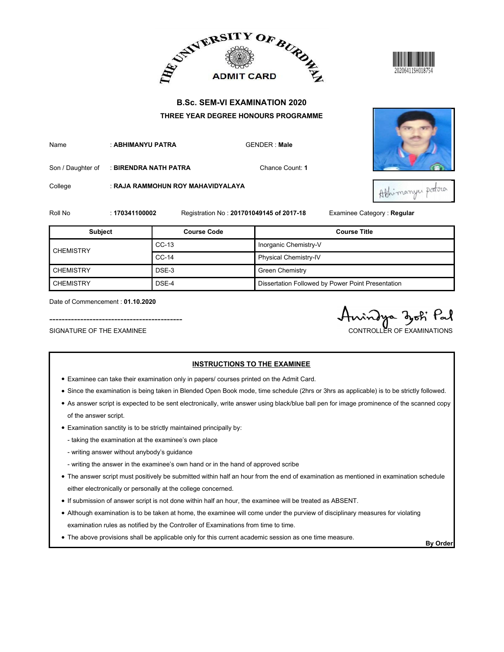



|                                                               |                       |                                   | ADMIT CARD BURDE                                                                                                                |                                              |  |
|---------------------------------------------------------------|-----------------------|-----------------------------------|---------------------------------------------------------------------------------------------------------------------------------|----------------------------------------------|--|
|                                                               |                       |                                   | <b>B.Sc. SEM-VI EXAMINATION 2020</b><br>THREE YEAR DEGREE HONOURS PROGRAMME                                                     |                                              |  |
| Name                                                          | : ABHIMANYU PATRA     |                                   | <b>GENDER: Male</b>                                                                                                             |                                              |  |
| Son / Daughter of                                             | : BIRENDRA NATH PATRA |                                   | Chance Count: 1                                                                                                                 |                                              |  |
| College                                                       |                       | : RAJA RAMMOHUN ROY MAHAVIDYALAYA |                                                                                                                                 | Athimanyu potra                              |  |
| Roll No                                                       | : 170341100002        |                                   | Registration No: 201701049145 of 2017-18                                                                                        | Examinee Category: Regular                   |  |
| <b>Subject</b>                                                |                       | <b>Course Code</b>                |                                                                                                                                 | <b>Course Title</b>                          |  |
|                                                               |                       | $CC-13$                           | Inorganic Chemistry-V                                                                                                           |                                              |  |
| <b>CHEMISTRY</b>                                              |                       | $CC-14$                           | Physical Chemistry-IV                                                                                                           |                                              |  |
| <b>CHEMISTRY</b>                                              |                       | DSE-3                             | <b>Green Chemistry</b>                                                                                                          |                                              |  |
| <b>CHEMISTRY</b>                                              |                       | DSE-4                             | Dissertation Followed by Power Point Presentation                                                                               |                                              |  |
| Date of Commencement: 01.10.2020<br>SIGNATURE OF THE EXAMINEE |                       |                                   |                                                                                                                                 | indya zoti Pal<br>CONTROLLER OF EXAMINATIONS |  |
|                                                               |                       |                                   | <b>INSTRUCTIONS TO THE EXAMINEE</b><br>• Examinee can take their examination only in papers/ courses printed on the Admit Card. |                                              |  |

- Examinee can take their examination only in papers/ courses printed on the Admit Card.
- Since the examination is being taken in Blended Open Book mode, time schedule (2hrs or 3hrs as applicable) is to be strictly followed.
- As answer script is expected to be sent electronically, write answer using black/blue ball pen for image prominence of the scanned copy of the answer script.
- Examination sanctity is to be strictly maintained principally by:
	- taking the examination at the examinee's own place
	- writing answer without anybody's guidance
	- writing the answer in the examinee's own hand or in the hand of approved scribe
- The answer script must positively be submitted within half an hour from the end of examination as mentioned in examination schedule either electronically or personally at the college concerned.
- If submission of answer script is not done within half an hour, the examinee will be treated as ABSENT.
- Although examination is to be taken at home, the examinee will come under the purview of disciplinary measures for violating examination rules as notified by the Controller of Examinations from time to time.
- The above provisions shall be applicable only for this current academic session as one time measure.<br>By Order

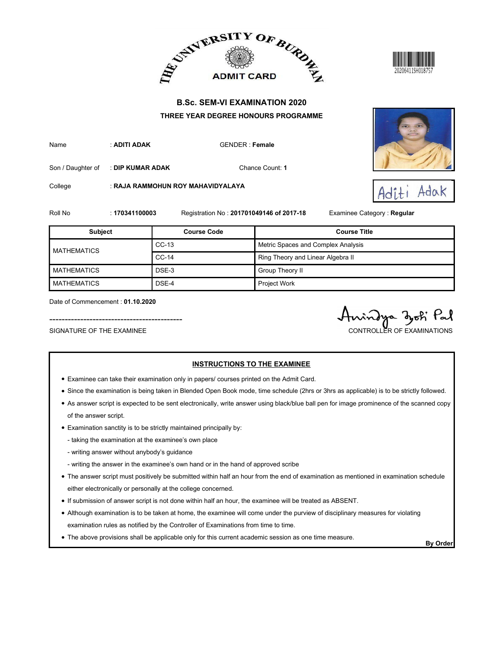





|                                                               |                  | ADMIT CARD BURDE                                                                         |                                          | 20206411SH01875`                            |  |
|---------------------------------------------------------------|------------------|------------------------------------------------------------------------------------------|------------------------------------------|---------------------------------------------|--|
|                                                               |                  | <b>B.Sc. SEM-VI EXAMINATION 2020</b>                                                     |                                          |                                             |  |
| Name                                                          | : ADITI ADAK     | THREE YEAR DEGREE HONOURS PROGRAMME                                                      | <b>GENDER: Female</b>                    |                                             |  |
| Son / Daughter of                                             | : DIP KUMAR ADAK |                                                                                          | Chance Count: 1                          |                                             |  |
| College                                                       |                  | : RAJA RAMMOHUN ROY MAHAVIDYALAYA                                                        |                                          | Adak<br>Adit                                |  |
| Roll No                                                       | : 170341100003   |                                                                                          | Registration No: 201701049146 of 2017-18 | Examinee Category : Regular                 |  |
| <b>Subject</b>                                                |                  | <b>Course Code</b>                                                                       |                                          | <b>Course Title</b>                         |  |
|                                                               |                  | $CC-13$                                                                                  | Metric Spaces and Complex Analysis       |                                             |  |
| <b>MATHEMATICS</b>                                            |                  | $CC-14$                                                                                  |                                          | Ring Theory and Linear Algebra II           |  |
| <b>MATHEMATICS</b>                                            |                  | DSE-3                                                                                    | Group Theory II                          |                                             |  |
| <b>MATHEMATICS</b>                                            |                  | DSE-4                                                                                    | Project Work                             |                                             |  |
| Date of Commencement: 01.10.2020<br>SIGNATURE OF THE EXAMINEE |                  |                                                                                          |                                          | indya dok Pal<br>CONTROLLER OF EXAMINATIONS |  |
|                                                               |                  | • Examinee can take their examination only in papers/ courses printed on the Admit Card. | <b>INSTRUCTIONS TO THE EXAMINEE</b>      |                                             |  |

- Examinee can take their examination only in papers/ courses printed on the Admit Card.
- Since the examination is being taken in Blended Open Book mode, time schedule (2hrs or 3hrs as applicable) is to be strictly followed.
- As answer script is expected to be sent electronically, write answer using black/blue ball pen for image prominence of the scanned copy of the answer script.
- Examination sanctity is to be strictly maintained principally by:
	- taking the examination at the examinee's own place
	- writing answer without anybody's guidance
	- writing the answer in the examinee's own hand or in the hand of approved scribe
- The answer script must positively be submitted within half an hour from the end of examination as mentioned in examination schedule either electronically or personally at the college concerned.
- If submission of answer script is not done within half an hour, the examinee will be treated as ABSENT.
- Although examination is to be taken at home, the examinee will come under the purview of disciplinary measures for violating examination rules as notified by the Controller of Examinations from time to time.
- The above provisions shall be applicable only for this current academic session as one time measure.<br>By Order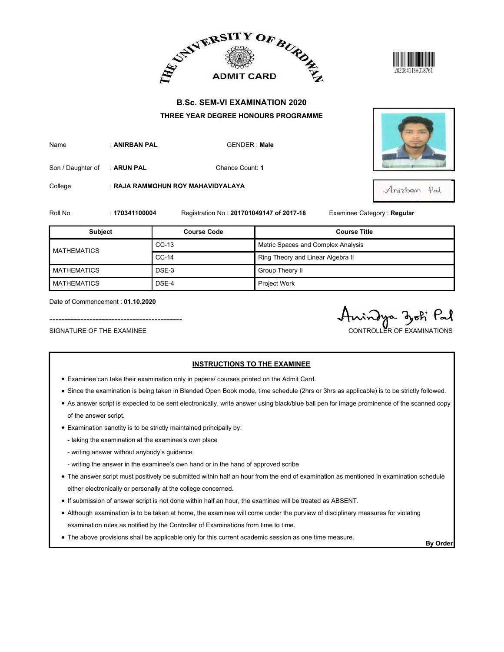



|                                          |                |                                          | ADMIT CARD BURDER                    |                            |
|------------------------------------------|----------------|------------------------------------------|--------------------------------------|----------------------------|
|                                          |                |                                          | <b>B.Sc. SEM-VI EXAMINATION 2020</b> |                            |
|                                          |                |                                          | THREE YEAR DEGREE HONOURS PROGRAMME  |                            |
| Name                                     | : ANIRBAN PAL  |                                          | <b>GENDER: Male</b>                  |                            |
| Son / Daughter of                        | : ARUN PAL     | Chance Count: 1                          |                                      |                            |
| College                                  |                | : RAJA RAMMOHUN ROY MAHAVIDYALAYA        |                                      | Anisban Pal                |
| Roll No                                  | : 170341100004 | Registration No: 201701049147 of 2017-18 |                                      | Examinee Category: Regular |
|                                          |                |                                          |                                      |                            |
| <b>Subject</b>                           |                | <b>Course Code</b>                       |                                      | <b>Course Title</b>        |
| <b>MATHEMATICS</b>                       |                | $CC-13$                                  | Metric Spaces and Complex Analysis   |                            |
|                                          |                | $CC-14$                                  | Ring Theory and Linear Algebra II    |                            |
| <b>MATHEMATICS</b><br><b>MATHEMATICS</b> |                | DSE-3<br>DSE-4                           | Group Theory II<br>Project Work      |                            |

- Examinee can take their examination only in papers/ courses printed on the Admit Card.
- Since the examination is being taken in Blended Open Book mode, time schedule (2hrs or 3hrs as applicable) is to be strictly followed.
- As answer script is expected to be sent electronically, write answer using black/blue ball pen for image prominence of the scanned copy of the answer script.
- Examination sanctity is to be strictly maintained principally by:
	- taking the examination at the examinee's own place
	- writing answer without anybody's guidance
	- writing the answer in the examinee's own hand or in the hand of approved scribe
- The answer script must positively be submitted within half an hour from the end of examination as mentioned in examination schedule either electronically or personally at the college concerned.
- If submission of answer script is not done within half an hour, the examinee will be treated as ABSENT.
- Although examination is to be taken at home, the examinee will come under the purview of disciplinary measures for violating examination rules as notified by the Controller of Examinations from time to time.
- The above provisions shall be applicable only for this current academic session as one time measure.<br>By Order

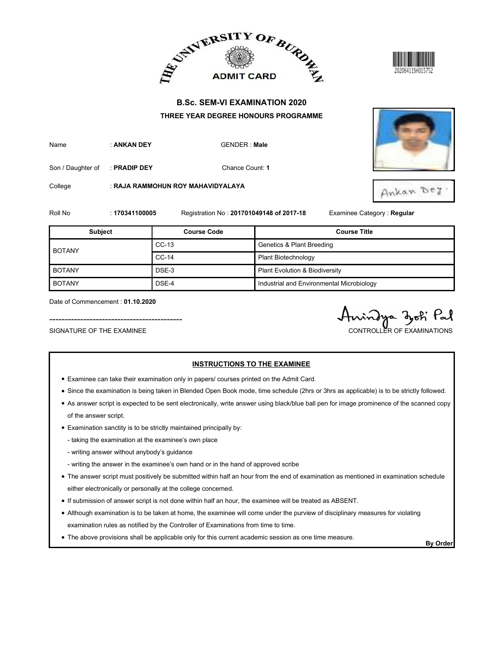





|                          |                                 | ADMIT CARD AND ALLEY ADMIT CARD AT                         |                                           |                            |
|--------------------------|---------------------------------|------------------------------------------------------------|-------------------------------------------|----------------------------|
|                          |                                 | <b>B.Sc. SEM-VI EXAMINATION 2020</b>                       |                                           |                            |
| Name                     | : ANKAN DEY                     | THREE YEAR DEGREE HONOURS PROGRAMME<br><b>GENDER: Male</b> |                                           |                            |
| Son / Daughter of        | Chance Count: 1<br>: PRADIP DEY |                                                            |                                           |                            |
| College                  |                                 | : RAJA RAMMOHUN ROY MAHAVIDYALAYA                          |                                           | Ankan Dey                  |
|                          |                                 |                                                            |                                           |                            |
|                          | : 170341100005                  | Registration No: 201701049148 of 2017-18                   |                                           | Examinee Category: Regular |
| <b>Subject</b>           |                                 | <b>Course Code</b>                                         |                                           | <b>Course Title</b>        |
|                          |                                 | $CC-13$                                                    | <b>Genetics &amp; Plant Breeding</b>      |                            |
| <b>BOTANY</b>            |                                 | $CC-14$                                                    | Plant Biotechnology                       |                            |
| <b>BOTANY</b>            |                                 | DSE-3                                                      | Plant Evolution & Biodiversity            |                            |
| Roll No<br><b>BOTANY</b> |                                 | DSE-4                                                      | Industrial and Environmental Microbiology |                            |

- Examinee can take their examination only in papers/ courses printed on the Admit Card.
- Since the examination is being taken in Blended Open Book mode, time schedule (2hrs or 3hrs as applicable) is to be strictly followed.

- As answer script is expected to be sent electronically, write answer using black/blue ball pen for image prominence of the scanned copy of the answer script.
- Examination sanctity is to be strictly maintained principally by:
	- taking the examination at the examinee's own place
	- writing answer without anybody's guidance
	- writing the answer in the examinee's own hand or in the hand of approved scribe
- The answer script must positively be submitted within half an hour from the end of examination as mentioned in examination schedule either electronically or personally at the college concerned.
- If submission of answer script is not done within half an hour, the examinee will be treated as ABSENT.
- Although examination is to be taken at home, the examinee will come under the purview of disciplinary measures for violating examination rules as notified by the Controller of Examinations from time to time.
- The above provisions shall be applicable only for this current academic session as one time measure.<br>By Order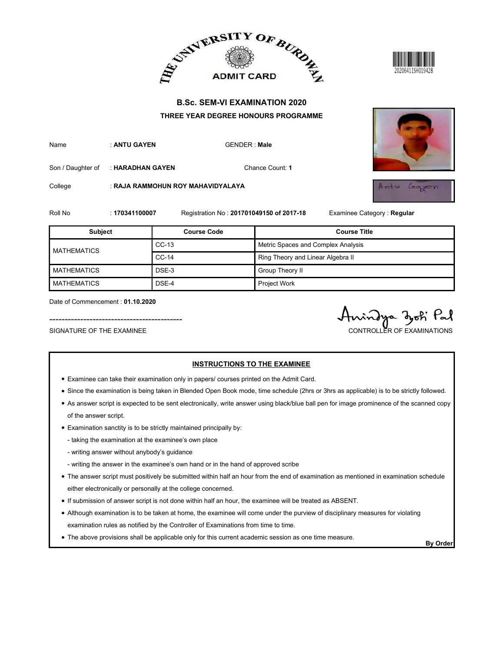





| <b>B.Sc. SEM-VI EXAMINATION 2020</b><br>THREE YEAR DEGREE HONOURS PROGRAMME<br>: ANTU GAYEN<br><b>GENDER: Male</b><br>Name<br>Chance Count: 1<br>Son / Daughter of<br>: HARADHAN GAYEN<br>College<br>: RAJA RAMMOHUN ROY MAHAVIDYALAYA<br>Roll No<br>: 170341100007<br>Registration No: 201701049150 of 2017-18 |                                                 |
|-----------------------------------------------------------------------------------------------------------------------------------------------------------------------------------------------------------------------------------------------------------------------------------------------------------------|-------------------------------------------------|
|                                                                                                                                                                                                                                                                                                                 |                                                 |
|                                                                                                                                                                                                                                                                                                                 |                                                 |
|                                                                                                                                                                                                                                                                                                                 |                                                 |
|                                                                                                                                                                                                                                                                                                                 | $2m \pm 14$<br>Grayen                           |
|                                                                                                                                                                                                                                                                                                                 | Examinee Category: Regular                      |
| <b>Subject</b><br><b>Course Code</b>                                                                                                                                                                                                                                                                            | <b>Course Title</b>                             |
| Metric Spaces and Complex Analysis<br>$CC-13$<br><b>MATHEMATICS</b>                                                                                                                                                                                                                                             |                                                 |
| $CC-14$<br>Ring Theory and Linear Algebra II                                                                                                                                                                                                                                                                    |                                                 |
| <b>MATHEMATICS</b><br>DSE-3<br>Group Theory II                                                                                                                                                                                                                                                                  |                                                 |
| Project Work<br><b>MATHEMATICS</b><br>DSE-4                                                                                                                                                                                                                                                                     |                                                 |
| Date of Commencement: 01.10.2020<br>SIGNATURE OF THE EXAMINEE<br><b>INSTRUCTIONS TO THE EXAMINEE</b>                                                                                                                                                                                                            | Pal<br>indya djoh<br>CONTROLLER OF EXAMINATIONS |

- Examinee can take their examination only in papers/ courses printed on the Admit Card.
- Since the examination is being taken in Blended Open Book mode, time schedule (2hrs or 3hrs as applicable) is to be strictly followed.
- As answer script is expected to be sent electronically, write answer using black/blue ball pen for image prominence of the scanned copy of the answer script.
- Examination sanctity is to be strictly maintained principally by:
	- taking the examination at the examinee's own place
	- writing answer without anybody's guidance
	- writing the answer in the examinee's own hand or in the hand of approved scribe
- The answer script must positively be submitted within half an hour from the end of examination as mentioned in examination schedule either electronically or personally at the college concerned.
- If submission of answer script is not done within half an hour, the examinee will be treated as ABSENT.
- Although examination is to be taken at home, the examinee will come under the purview of disciplinary measures for violating examination rules as notified by the Controller of Examinations from time to time.
- The above provisions shall be applicable only for this current academic session as one time measure.<br>By Order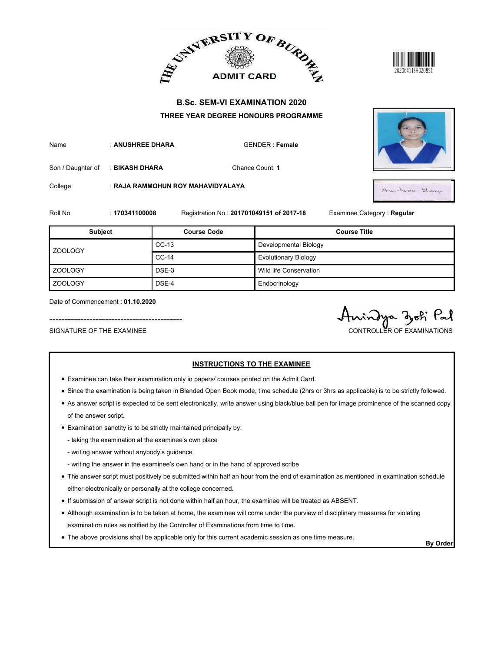





|                                                               |                  |                                   | ADMIT CARD BURDE                                                                                                                | 20206411SH020851                              |
|---------------------------------------------------------------|------------------|-----------------------------------|---------------------------------------------------------------------------------------------------------------------------------|-----------------------------------------------|
|                                                               |                  |                                   | <b>B.Sc. SEM-VI EXAMINATION 2020</b>                                                                                            |                                               |
|                                                               |                  |                                   | THREE YEAR DEGREE HONOURS PROGRAMME                                                                                             |                                               |
| Name                                                          | : ANUSHREE DHARA |                                   | <b>GENDER: Female</b>                                                                                                           |                                               |
| Son / Daughter of                                             | : BIKASH DHARA   |                                   | Chance Count: 1                                                                                                                 |                                               |
| College                                                       |                  | : RAJA RAMMOHUN ROY MAHAVIDYALAYA |                                                                                                                                 | Amerahones Dhamo-                             |
| Roll No                                                       | : 170341100008   |                                   | Registration No: 201701049151 of 2017-18                                                                                        | Examinee Category: Regular                    |
| <b>Subject</b>                                                |                  | <b>Course Code</b>                |                                                                                                                                 | <b>Course Title</b>                           |
|                                                               |                  | $CC-13$                           | Developmental Biology                                                                                                           |                                               |
| ZOOLOGY                                                       |                  | $CC-14$                           | <b>Evolutionary Biology</b>                                                                                                     |                                               |
| <b>ZOOLOGY</b>                                                |                  | DSE-3                             | Wild life Conservation                                                                                                          |                                               |
| <b>ZOOLOGY</b>                                                |                  | DSE-4                             | Endocrinology                                                                                                                   |                                               |
| Date of Commencement: 01.10.2020<br>SIGNATURE OF THE EXAMINEE |                  |                                   |                                                                                                                                 | indya djoti Pal<br>CONTROLLER OF EXAMINATIONS |
|                                                               |                  |                                   | <b>INSTRUCTIONS TO THE EXAMINEE</b><br>• Examinee can take their examination only in papers/ courses printed on the Admit Card. |                                               |

- Examinee can take their examination only in papers/ courses printed on the Admit Card.
- Since the examination is being taken in Blended Open Book mode, time schedule (2hrs or 3hrs as applicable) is to be strictly followed.
- As answer script is expected to be sent electronically, write answer using black/blue ball pen for image prominence of the scanned copy of the answer script.
- Examination sanctity is to be strictly maintained principally by:
	- taking the examination at the examinee's own place
	- writing answer without anybody's guidance
	- writing the answer in the examinee's own hand or in the hand of approved scribe
- The answer script must positively be submitted within half an hour from the end of examination as mentioned in examination schedule either electronically or personally at the college concerned.
- If submission of answer script is not done within half an hour, the examinee will be treated as ABSENT.
- Although examination is to be taken at home, the examinee will come under the purview of disciplinary measures for violating examination rules as notified by the Controller of Examinations from time to time.
- The above provisions shall be applicable only for this current academic session as one time measure.<br>By Order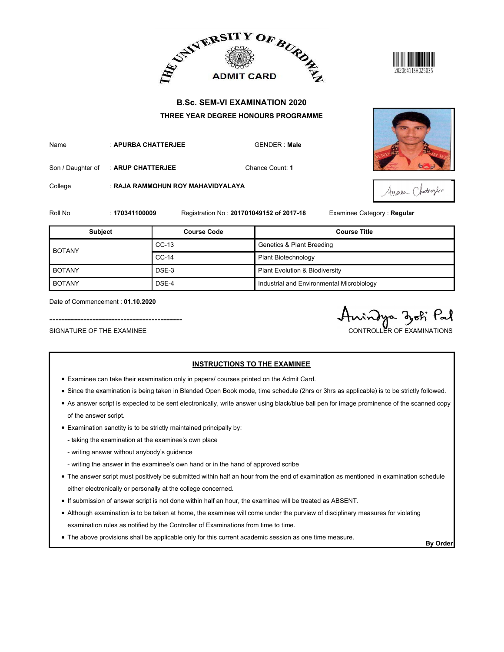





|                                                               |                     |                                                                                          | ADMIT CARD AND ALLEY ADMIT CARD AT                                          | 20206411SH025035                              |  |
|---------------------------------------------------------------|---------------------|------------------------------------------------------------------------------------------|-----------------------------------------------------------------------------|-----------------------------------------------|--|
|                                                               |                     |                                                                                          | <b>B.Sc. SEM-VI EXAMINATION 2020</b><br>THREE YEAR DEGREE HONOURS PROGRAMME |                                               |  |
| Name                                                          | : APURBA CHATTERJEE |                                                                                          | <b>GENDER: Male</b>                                                         |                                               |  |
| Son / Daughter of                                             | : ARUP CHATTERJEE   |                                                                                          | Chance Count: 1                                                             |                                               |  |
| College                                                       |                     | : RAJA RAMMOHUN ROY MAHAVIDYALAYA                                                        |                                                                             | Attender Chatherize                           |  |
| Roll No                                                       | : 170341100009      |                                                                                          | Registration No: 201701049152 of 2017-18                                    | Examinee Category: Regular                    |  |
| Subject                                                       |                     | <b>Course Code</b>                                                                       |                                                                             | <b>Course Title</b>                           |  |
| <b>BOTANY</b>                                                 |                     | CC-13                                                                                    | <b>Genetics &amp; Plant Breeding</b>                                        |                                               |  |
|                                                               |                     | CC-14                                                                                    | Plant Biotechnology                                                         |                                               |  |
| <b>BOTANY</b>                                                 |                     | DSE-3                                                                                    | Plant Evolution & Biodiversity                                              |                                               |  |
| <b>BOTANY</b>                                                 |                     | DSE-4                                                                                    | Industrial and Environmental Microbiology                                   |                                               |  |
| Date of Commencement: 01.10.2020<br>SIGNATURE OF THE EXAMINEE |                     |                                                                                          |                                                                             | indya djoti Pal<br>CONTROLLER OF EXAMINATIONS |  |
|                                                               |                     | • Examinee can take their examination only in papers/ courses printed on the Admit Card. | <b>INSTRUCTIONS TO THE EXAMINEE</b>                                         |                                               |  |

- Examinee can take their examination only in papers/ courses printed on the Admit Card.
- Since the examination is being taken in Blended Open Book mode, time schedule (2hrs or 3hrs as applicable) is to be strictly followed.
- As answer script is expected to be sent electronically, write answer using black/blue ball pen for image prominence of the scanned copy of the answer script.
- Examination sanctity is to be strictly maintained principally by:
	- taking the examination at the examinee's own place
	- writing answer without anybody's guidance
	- writing the answer in the examinee's own hand or in the hand of approved scribe
- The answer script must positively be submitted within half an hour from the end of examination as mentioned in examination schedule either electronically or personally at the college concerned.
- If submission of answer script is not done within half an hour, the examinee will be treated as ABSENT.
- Although examination is to be taken at home, the examinee will come under the purview of disciplinary measures for violating examination rules as notified by the Controller of Examinations from time to time.
- The above provisions shall be applicable only for this current academic session as one time measure.<br>By Order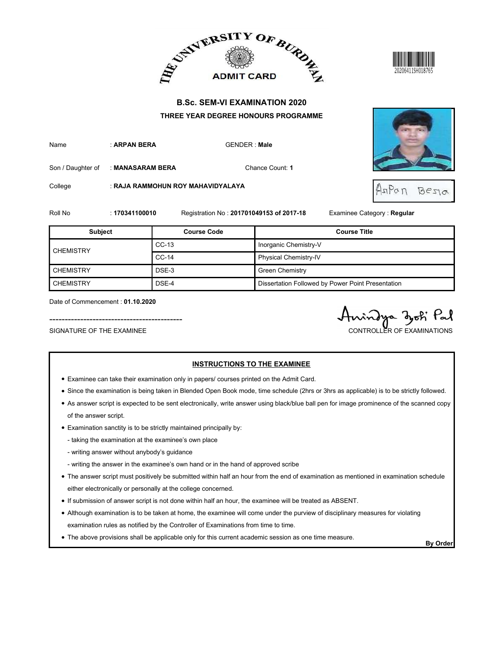







|                                                               |                  | ADMIT CARD BURDE                                                                         |                                          | 20206411SH018765                                  |
|---------------------------------------------------------------|------------------|------------------------------------------------------------------------------------------|------------------------------------------|---------------------------------------------------|
|                                                               |                  | <b>B.Sc. SEM-VI EXAMINATION 2020</b><br>THREE YEAR DEGREE HONOURS PROGRAMME              |                                          |                                                   |
| Name                                                          | : ARPAN BERA     |                                                                                          | <b>GENDER: Male</b>                      |                                                   |
| Son / Daughter of                                             | : MANASARAM BERA |                                                                                          | Chance Count: 1                          |                                                   |
| College                                                       |                  | : RAJA RAMMOHUN ROY MAHAVIDYALAYA                                                        |                                          | 7770<br>Bezia                                     |
| Roll No                                                       | : 170341100010   |                                                                                          | Registration No: 201701049153 of 2017-18 | Examinee Category: Regular                        |
| <b>Subject</b>                                                |                  | <b>Course Code</b>                                                                       |                                          | <b>Course Title</b>                               |
|                                                               |                  | $CC-13$                                                                                  | Inorganic Chemistry-V                    |                                                   |
| <b>CHEMISTRY</b>                                              |                  | $CC-14$                                                                                  | Physical Chemistry-IV                    |                                                   |
| <b>CHEMISTRY</b>                                              |                  | DSE-3                                                                                    | <b>Green Chemistry</b>                   |                                                   |
| <b>CHEMISTRY</b>                                              |                  | DSE-4                                                                                    |                                          | Dissertation Followed by Power Point Presentation |
| Date of Commencement: 01.10.2020<br>SIGNATURE OF THE EXAMINEE |                  |                                                                                          |                                          | Pal<br>indya doti<br>CONTROLLER OF EXAMINATIONS   |
|                                                               |                  | • Examinee can take their examination only in papers/ courses printed on the Admit Card. | <b>INSTRUCTIONS TO THE EXAMINEE</b>      |                                                   |

- Examinee can take their examination only in papers/ courses printed on the Admit Card.
- Since the examination is being taken in Blended Open Book mode, time schedule (2hrs or 3hrs as applicable) is to be strictly followed.
- As answer script is expected to be sent electronically, write answer using black/blue ball pen for image prominence of the scanned copy of the answer script.
- Examination sanctity is to be strictly maintained principally by:
	- taking the examination at the examinee's own place
	- writing answer without anybody's guidance
	- writing the answer in the examinee's own hand or in the hand of approved scribe
- The answer script must positively be submitted within half an hour from the end of examination as mentioned in examination schedule either electronically or personally at the college concerned.
- If submission of answer script is not done within half an hour, the examinee will be treated as ABSENT.
- Although examination is to be taken at home, the examinee will come under the purview of disciplinary measures for violating examination rules as notified by the Controller of Examinations from time to time.
- The above provisions shall be applicable only for this current academic session as one time measure.<br>By Order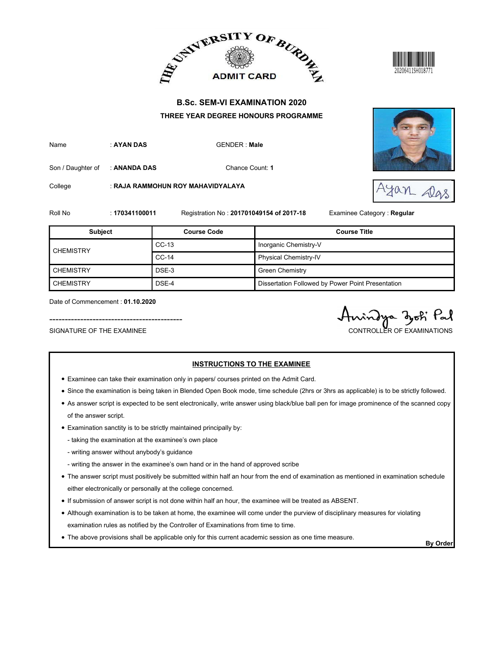





|                                                               |                | ADMIT CARD BURDE                                                                         |                                                   | 20206411SH018771                             |
|---------------------------------------------------------------|----------------|------------------------------------------------------------------------------------------|---------------------------------------------------|----------------------------------------------|
|                                                               |                | <b>B.Sc. SEM-VI EXAMINATION 2020</b><br>THREE YEAR DEGREE HONOURS PROGRAMME              |                                                   |                                              |
| Name                                                          | : AYAN DAS     | <b>GENDER: Male</b>                                                                      |                                                   |                                              |
| Son / Daughter of                                             | : ANANDA DAS   |                                                                                          | Chance Count: 1                                   |                                              |
| College                                                       |                | : RAJA RAMMOHUN ROY MAHAVIDYALAYA                                                        |                                                   | Alas                                         |
| Roll No                                                       | : 170341100011 | Registration No: 201701049154 of 2017-18                                                 |                                                   | Examinee Category : Regular                  |
| <b>Subject</b>                                                |                | <b>Course Code</b>                                                                       |                                                   | <b>Course Title</b>                          |
| <b>CHEMISTRY</b>                                              |                | $CC-13$<br>$CC-14$                                                                       | Inorganic Chemistry-V<br>Physical Chemistry-IV    |                                              |
| <b>CHEMISTRY</b>                                              |                | DSE-3                                                                                    | <b>Green Chemistry</b>                            |                                              |
| <b>CHEMISTRY</b>                                              |                | DSE-4                                                                                    | Dissertation Followed by Power Point Presentation |                                              |
| Date of Commencement: 01.10.2020<br>SIGNATURE OF THE EXAMINEE |                |                                                                                          |                                                   | indya zoti Pal<br>CONTROLLER OF EXAMINATIONS |
|                                                               |                | • Examinee can take their examination only in papers/ courses printed on the Admit Card. | <b>INSTRUCTIONS TO THE EXAMINEE</b>               |                                              |

- Examinee can take their examination only in papers/ courses printed on the Admit Card.
- Since the examination is being taken in Blended Open Book mode, time schedule (2hrs or 3hrs as applicable) is to be strictly followed.
- As answer script is expected to be sent electronically, write answer using black/blue ball pen for image prominence of the scanned copy of the answer script.
- Examination sanctity is to be strictly maintained principally by:
	- taking the examination at the examinee's own place
	- writing answer without anybody's guidance
	- writing the answer in the examinee's own hand or in the hand of approved scribe
- The answer script must positively be submitted within half an hour from the end of examination as mentioned in examination schedule either electronically or personally at the college concerned.
- If submission of answer script is not done within half an hour, the examinee will be treated as ABSENT.
- Although examination is to be taken at home, the examinee will come under the purview of disciplinary measures for violating examination rules as notified by the Controller of Examinations from time to time.
- The above provisions shall be applicable only for this current academic session as one time measure.<br>By Order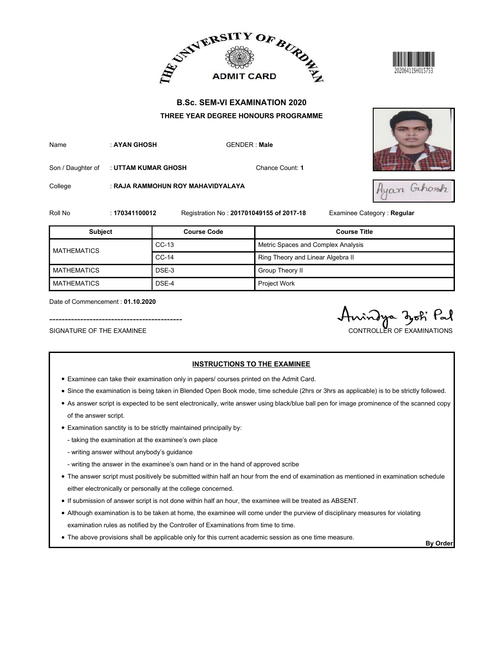





|                                                               |                     | ADMIT CARD BURDE                                                                         |                                     | 20206411SH015753                             |  |
|---------------------------------------------------------------|---------------------|------------------------------------------------------------------------------------------|-------------------------------------|----------------------------------------------|--|
|                                                               |                     | <b>B.Sc. SEM-VI EXAMINATION 2020</b>                                                     |                                     |                                              |  |
|                                                               |                     | THREE YEAR DEGREE HONOURS PROGRAMME                                                      |                                     |                                              |  |
| Name                                                          | : AYAN GHOSH        |                                                                                          | <b>GENDER: Male</b>                 |                                              |  |
| Son / Daughter of                                             | : UTTAM KUMAR GHOSH |                                                                                          | Chance Count: 1                     |                                              |  |
| College                                                       |                     | : RAJA RAMMOHUN ROY MAHAVIDYALAYA                                                        |                                     | Ayan Gihosh                                  |  |
| Roll No                                                       | : 170341100012      | Registration No: 201701049155 of 2017-18                                                 |                                     | Examinee Category: Regular                   |  |
| <b>Subject</b>                                                |                     | <b>Course Code</b>                                                                       |                                     | <b>Course Title</b>                          |  |
| <b>MATHEMATICS</b>                                            |                     | $CC-13$                                                                                  | Metric Spaces and Complex Analysis  |                                              |  |
|                                                               |                     | $CC-14$                                                                                  |                                     | Ring Theory and Linear Algebra II            |  |
| <b>MATHEMATICS</b>                                            |                     | DSE-3                                                                                    | Group Theory II                     |                                              |  |
| <b>MATHEMATICS</b>                                            |                     | DSE-4                                                                                    | Project Work                        |                                              |  |
| Date of Commencement: 01.10.2020<br>SIGNATURE OF THE EXAMINEE |                     |                                                                                          |                                     | indya dohi Pal<br>CONTROLLER OF EXAMINATIONS |  |
|                                                               |                     | • Examinee can take their examination only in papers/ courses printed on the Admit Card. | <b>INSTRUCTIONS TO THE EXAMINEE</b> |                                              |  |

- Examinee can take their examination only in papers/ courses printed on the Admit Card.
- Since the examination is being taken in Blended Open Book mode, time schedule (2hrs or 3hrs as applicable) is to be strictly followed.
- As answer script is expected to be sent electronically, write answer using black/blue ball pen for image prominence of the scanned copy of the answer script.
- Examination sanctity is to be strictly maintained principally by:
	- taking the examination at the examinee's own place
	- writing answer without anybody's guidance
	- writing the answer in the examinee's own hand or in the hand of approved scribe
- The answer script must positively be submitted within half an hour from the end of examination as mentioned in examination schedule either electronically or personally at the college concerned.
- If submission of answer script is not done within half an hour, the examinee will be treated as ABSENT.
- Although examination is to be taken at home, the examinee will come under the purview of disciplinary measures for violating examination rules as notified by the Controller of Examinations from time to time.
- The above provisions shall be applicable only for this current academic session as one time measure.<br>By Order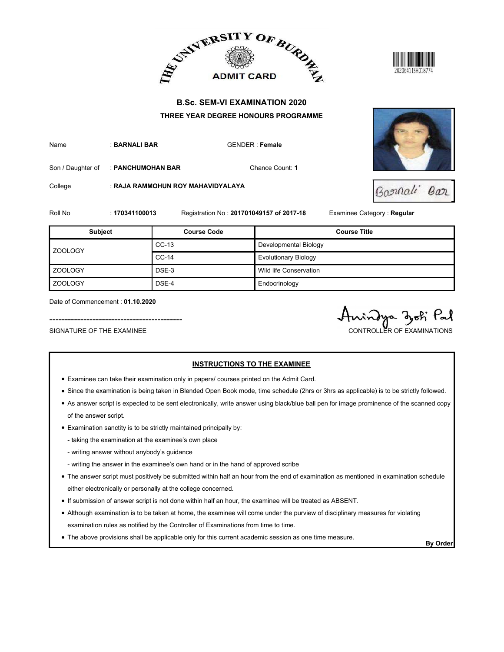





|                                                               |                   |                                   | ADMIT CARD BURDE                                                                                                                | 20206411SH018774                            |
|---------------------------------------------------------------|-------------------|-----------------------------------|---------------------------------------------------------------------------------------------------------------------------------|---------------------------------------------|
|                                                               |                   |                                   | <b>B.Sc. SEM-VI EXAMINATION 2020</b><br>THREE YEAR DEGREE HONOURS PROGRAMME                                                     |                                             |
| Name                                                          | : BARNALI BAR     |                                   | <b>GENDER: Female</b>                                                                                                           |                                             |
| Son / Daughter of                                             | : PANCHUMOHAN BAR |                                   | Chance Count: 1                                                                                                                 |                                             |
| College                                                       |                   | : RAJA RAMMOHUN ROY MAHAVIDYALAYA |                                                                                                                                 | Barnali<br>Bar                              |
| Roll No                                                       | : 170341100013    |                                   | Registration No: 201701049157 of 2017-18                                                                                        | Examinee Category: Regular                  |
| Subject                                                       |                   | <b>Course Code</b>                |                                                                                                                                 | <b>Course Title</b>                         |
| <b>ZOOLOGY</b>                                                |                   | CC-13                             | Developmental Biology                                                                                                           |                                             |
|                                                               |                   | CC-14                             | <b>Evolutionary Biology</b>                                                                                                     |                                             |
| <b>ZOOLOGY</b>                                                |                   | DSE-3                             | Wild life Conservation                                                                                                          |                                             |
| ZOOLOGY                                                       |                   | DSE-4                             | Endocrinology                                                                                                                   |                                             |
| Date of Commencement: 01.10.2020<br>SIGNATURE OF THE EXAMINEE |                   |                                   |                                                                                                                                 | indya zok Pal<br>CONTROLLER OF EXAMINATIONS |
|                                                               |                   |                                   | <b>INSTRUCTIONS TO THE EXAMINEE</b><br>• Examinee can take their examination only in papers/ courses printed on the Admit Card. |                                             |

- Examinee can take their examination only in papers/ courses printed on the Admit Card.
- Since the examination is being taken in Blended Open Book mode, time schedule (2hrs or 3hrs as applicable) is to be strictly followed.
- As answer script is expected to be sent electronically, write answer using black/blue ball pen for image prominence of the scanned copy of the answer script.
- Examination sanctity is to be strictly maintained principally by:
	- taking the examination at the examinee's own place
	- writing answer without anybody's guidance
	- writing the answer in the examinee's own hand or in the hand of approved scribe
- The answer script must positively be submitted within half an hour from the end of examination as mentioned in examination schedule either electronically or personally at the college concerned.
- If submission of answer script is not done within half an hour, the examinee will be treated as ABSENT.
- Although examination is to be taken at home, the examinee will come under the purview of disciplinary measures for violating examination rules as notified by the Controller of Examinations from time to time.
- The above provisions shall be applicable only for this current academic session as one time measure.<br>By Order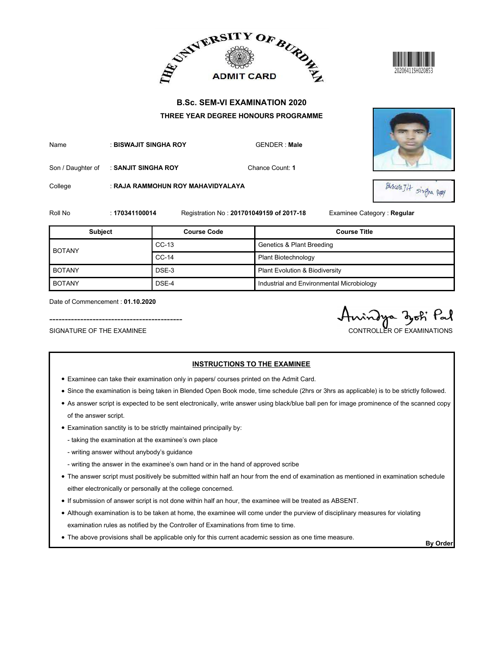





|                                                               |                       |                                                                                          | ADMIT CARD BURDE                          |                                               |
|---------------------------------------------------------------|-----------------------|------------------------------------------------------------------------------------------|-------------------------------------------|-----------------------------------------------|
|                                                               |                       |                                                                                          | <b>B.Sc. SEM-VI EXAMINATION 2020</b>      |                                               |
|                                                               |                       |                                                                                          | THREE YEAR DEGREE HONOURS PROGRAMME       |                                               |
| Name                                                          | : BISWAJIT SINGHA ROY |                                                                                          | <b>GENDER: Male</b>                       |                                               |
| Son / Daughter of                                             | : SANJIT SINGHA ROY   |                                                                                          | Chance Count: 1                           |                                               |
| College                                                       |                       | : RAJA RAMMOHUN ROY MAHAVIDYALAYA                                                        |                                           | BiswaJit singna Ray                           |
| Roll No                                                       | : 170341100014        |                                                                                          | Registration No: 201701049159 of 2017-18  | Examinee Category: Regular                    |
| <b>Subject</b>                                                |                       | <b>Course Code</b>                                                                       |                                           | <b>Course Title</b>                           |
|                                                               |                       | $CC-13$                                                                                  | <b>Genetics &amp; Plant Breeding</b>      |                                               |
| <b>BOTANY</b>                                                 |                       | $CC-14$                                                                                  | Plant Biotechnology                       |                                               |
| <b>BOTANY</b>                                                 |                       | DSE-3                                                                                    | Plant Evolution & Biodiversity            |                                               |
| <b>BOTANY</b>                                                 |                       | DSE-4                                                                                    | Industrial and Environmental Microbiology |                                               |
| Date of Commencement: 01.10.2020<br>SIGNATURE OF THE EXAMINEE |                       |                                                                                          |                                           | vindya zoti Pal<br>CONTROLLER OF EXAMINATIONS |
|                                                               |                       | • Examinee can take their examination only in papers/ courses printed on the Admit Card. | <b>INSTRUCTIONS TO THE EXAMINEE</b>       |                                               |

- Examinee can take their examination only in papers/ courses printed on the Admit Card.
- Since the examination is being taken in Blended Open Book mode, time schedule (2hrs or 3hrs as applicable) is to be strictly followed.
- As answer script is expected to be sent electronically, write answer using black/blue ball pen for image prominence of the scanned copy of the answer script.
- Examination sanctity is to be strictly maintained principally by:
	- taking the examination at the examinee's own place
	- writing answer without anybody's guidance
	- writing the answer in the examinee's own hand or in the hand of approved scribe
- The answer script must positively be submitted within half an hour from the end of examination as mentioned in examination schedule either electronically or personally at the college concerned.
- If submission of answer script is not done within half an hour, the examinee will be treated as ABSENT.
- Although examination is to be taken at home, the examinee will come under the purview of disciplinary measures for violating examination rules as notified by the Controller of Examinations from time to time.
- The above provisions shall be applicable only for this current academic session as one time measure.<br>By Order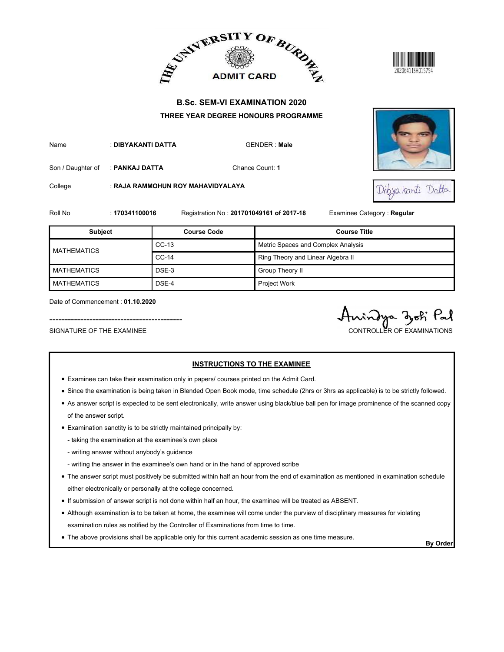





| <b>B.Sc. SEM-VI EXAMINATION 2020</b><br>THREE YEAR DEGREE HONOURS PROGRAMME<br>: DIBYAKANTI DATTA<br><b>GENDER: Male</b><br>Chance Count: 1<br>Son / Daughter of<br>: PANKAJ DATTA<br>: RAJA RAMMOHUN ROY MAHAVIDYALAYA<br>Dibya kanti Datta<br>Roll No<br>Registration No: 201701049161 of 2017-18<br>Examinee Category: Regular<br>: 170341100016<br><b>Course Title</b><br><b>Subject</b><br><b>Course Code</b><br>$CC-13$<br>Metric Spaces and Complex Analysis<br>$CC-14$<br>Ring Theory and Linear Algebra II<br>DSE-3<br>Group Theory II<br>Project Work<br>DSE-4<br>Date of Commencement: 01.10.2020<br>indya zoti Pal<br>CONTROLLER OF EXAMINATIONS |                           | ADMIT CARD BURDE |  |
|--------------------------------------------------------------------------------------------------------------------------------------------------------------------------------------------------------------------------------------------------------------------------------------------------------------------------------------------------------------------------------------------------------------------------------------------------------------------------------------------------------------------------------------------------------------------------------------------------------------------------------------------------------------|---------------------------|------------------|--|
|                                                                                                                                                                                                                                                                                                                                                                                                                                                                                                                                                                                                                                                              |                           |                  |  |
|                                                                                                                                                                                                                                                                                                                                                                                                                                                                                                                                                                                                                                                              | Name                      |                  |  |
|                                                                                                                                                                                                                                                                                                                                                                                                                                                                                                                                                                                                                                                              | College                   |                  |  |
|                                                                                                                                                                                                                                                                                                                                                                                                                                                                                                                                                                                                                                                              |                           |                  |  |
|                                                                                                                                                                                                                                                                                                                                                                                                                                                                                                                                                                                                                                                              |                           |                  |  |
|                                                                                                                                                                                                                                                                                                                                                                                                                                                                                                                                                                                                                                                              | <b>MATHEMATICS</b>        |                  |  |
|                                                                                                                                                                                                                                                                                                                                                                                                                                                                                                                                                                                                                                                              | <b>MATHEMATICS</b>        |                  |  |
|                                                                                                                                                                                                                                                                                                                                                                                                                                                                                                                                                                                                                                                              | <b>MATHEMATICS</b>        |                  |  |
| <b>INSTRUCTIONS TO THE EXAMINEE</b>                                                                                                                                                                                                                                                                                                                                                                                                                                                                                                                                                                                                                          | SIGNATURE OF THE EXAMINEE |                  |  |

- Examinee can take their examination only in papers/ courses printed on the Admit Card.
- Since the examination is being taken in Blended Open Book mode, time schedule (2hrs or 3hrs as applicable) is to be strictly followed.
- As answer script is expected to be sent electronically, write answer using black/blue ball pen for image prominence of the scanned copy of the answer script.
- Examination sanctity is to be strictly maintained principally by:
	- taking the examination at the examinee's own place
	- writing answer without anybody's guidance
	- writing the answer in the examinee's own hand or in the hand of approved scribe
- The answer script must positively be submitted within half an hour from the end of examination as mentioned in examination schedule either electronically or personally at the college concerned.
- If submission of answer script is not done within half an hour, the examinee will be treated as ABSENT.
- Although examination is to be taken at home, the examinee will come under the purview of disciplinary measures for violating examination rules as notified by the Controller of Examinations from time to time.
- The above provisions shall be applicable only for this current academic session as one time measure.<br>By Order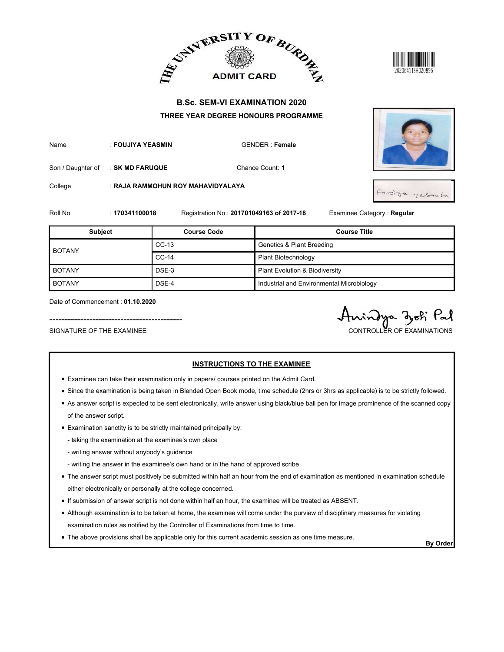





- Examinee can take their examination only in papers/ courses printed on the Admit Card.
- Since the examination is being taken in Blended Open Book mode, time schedule (2hrs or 3hrs as applicable) is to be strictly followed.
- As answer script is expected to be sent electronically, write answer using black/blue ball pen for image prominence of the scanned copy of the answer script.
- Examination sanctity is to be strictly maintained principally by:
	- taking the examination at the examinee's own place
	- writing answer without anybody's guidance
	- writing the answer in the examinee's own hand or in the hand of approved scribe
- The answer script must positively be submitted within half an hour from the end of examination as mentioned in examination schedule either electronically or personally at the college concerned.
- If submission of answer script is not done within half an hour, the examinee will be treated as ABSENT.
- Although examination is to be taken at home, the examinee will come under the purview of disciplinary measures for violating examination rules as notified by the Controller of Examinations from time to time.
- The above provisions shall be applicable only for this current academic session as one time measure.<br>By Order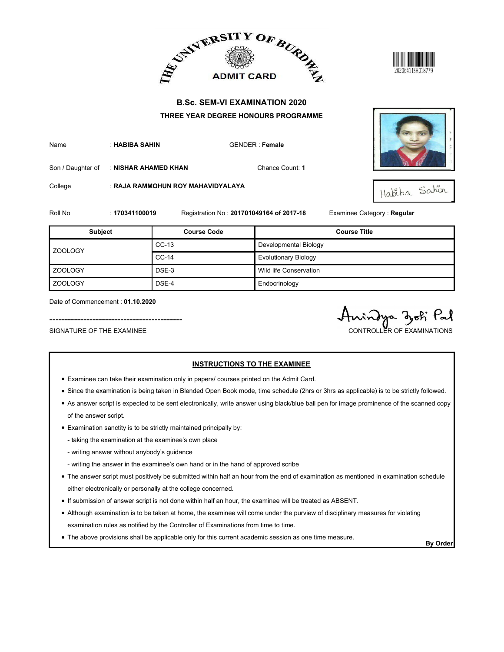



| Name | : HABIBA SAHIN | GENDER: Fen |
|------|----------------|-------------|
|      |                |             |





|                                                               |                      |                                   | ADMIT CARD AND ALLEY ADMIT CARD AT                                                                                              | 20206411SH018779                              |
|---------------------------------------------------------------|----------------------|-----------------------------------|---------------------------------------------------------------------------------------------------------------------------------|-----------------------------------------------|
|                                                               |                      |                                   | <b>B.Sc. SEM-VI EXAMINATION 2020</b>                                                                                            |                                               |
|                                                               |                      |                                   | THREE YEAR DEGREE HONOURS PROGRAMME                                                                                             |                                               |
| Name                                                          | : HABIBA SAHIN       |                                   | <b>GENDER: Female</b>                                                                                                           |                                               |
| Son / Daughter of                                             | : NISHAR AHAMED KHAN |                                   | Chance Count: 1                                                                                                                 |                                               |
| College                                                       |                      | : RAJA RAMMOHUN ROY MAHAVIDYALAYA |                                                                                                                                 | Habiba Sahin                                  |
| Roll No                                                       | : 170341100019       |                                   | Registration No: 201701049164 of 2017-18                                                                                        | Examinee Category : Regular                   |
| <b>Subject</b>                                                |                      | <b>Course Code</b>                |                                                                                                                                 | <b>Course Title</b>                           |
|                                                               |                      | $CC-13$                           | Developmental Biology                                                                                                           |                                               |
| ZOOLOGY                                                       |                      | $CC-14$                           | <b>Evolutionary Biology</b>                                                                                                     |                                               |
| <b>ZOOLOGY</b>                                                |                      | DSE-3                             | Wild life Conservation                                                                                                          |                                               |
| <b>ZOOLOGY</b>                                                |                      | DSE-4                             | Endocrinology                                                                                                                   |                                               |
| Date of Commencement: 01.10.2020<br>SIGNATURE OF THE EXAMINEE |                      |                                   |                                                                                                                                 | indya djoti Pal<br>CONTROLLER OF EXAMINATIONS |
|                                                               |                      |                                   | <b>INSTRUCTIONS TO THE EXAMINEE</b><br>• Examinee can take their examination only in papers/ courses printed on the Admit Card. |                                               |

- Examinee can take their examination only in papers/ courses printed on the Admit Card.
- Since the examination is being taken in Blended Open Book mode, time schedule (2hrs or 3hrs as applicable) is to be strictly followed.
- As answer script is expected to be sent electronically, write answer using black/blue ball pen for image prominence of the scanned copy of the answer script.
- Examination sanctity is to be strictly maintained principally by:
	- taking the examination at the examinee's own place
	- writing answer without anybody's guidance
	- writing the answer in the examinee's own hand or in the hand of approved scribe
- The answer script must positively be submitted within half an hour from the end of examination as mentioned in examination schedule either electronically or personally at the college concerned.
- If submission of answer script is not done within half an hour, the examinee will be treated as ABSENT.
- Although examination is to be taken at home, the examinee will come under the purview of disciplinary measures for violating examination rules as notified by the Controller of Examinations from time to time.
- The above provisions shall be applicable only for this current academic session as one time measure.<br>By Order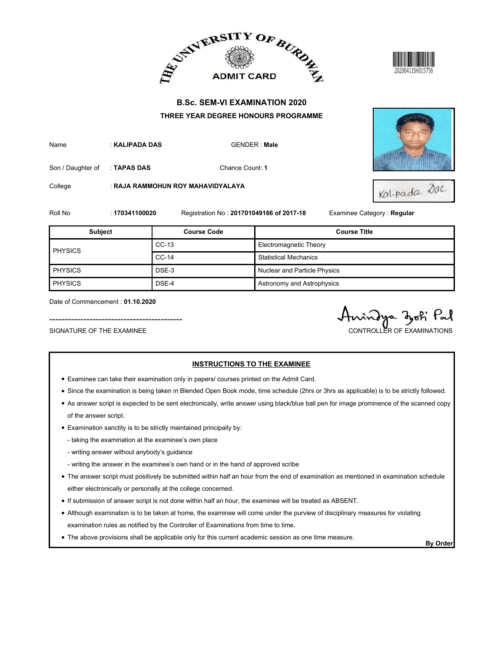



| Name | : KALIPADA DAS | <b>GENDER: Ma</b> |
|------|----------------|-------------------|
|      |                |                   |



|                                                               |                | ADMIT CARD AND ALLEY ADMIT CARD AT                                                       |                                          |                                                |
|---------------------------------------------------------------|----------------|------------------------------------------------------------------------------------------|------------------------------------------|------------------------------------------------|
|                                                               |                | <b>B.Sc. SEM-VI EXAMINATION 2020</b>                                                     |                                          |                                                |
|                                                               |                | THREE YEAR DEGREE HONOURS PROGRAMME                                                      |                                          |                                                |
| Name                                                          | : KALIPADA DAS |                                                                                          | <b>GENDER: Male</b>                      |                                                |
| Son / Daughter of                                             | : TAPAS DAS    |                                                                                          | Chance Count: 1                          |                                                |
| College                                                       |                | : RAJA RAMMOHUN ROY MAHAVIDYALAYA                                                        |                                          | Kalipada das.                                  |
| Roll No                                                       | : 170341100020 |                                                                                          | Registration No: 201701049166 of 2017-18 | Examinee Category: Regular                     |
| <b>Subject</b>                                                |                | <b>Course Code</b>                                                                       |                                          | <b>Course Title</b>                            |
| <b>PHYSICS</b>                                                |                | $CC-13$                                                                                  | Electromagnetic Theory                   |                                                |
|                                                               |                | $CC-14$                                                                                  | <b>Statistical Mechanics</b>             |                                                |
| PHYSICS                                                       |                | DSE-3                                                                                    | Nuclear and Particle Physics             |                                                |
| PHYSICS                                                       |                | DSE-4                                                                                    | Astronomy and Astrophysics               |                                                |
| Date of Commencement: 01.10.2020<br>SIGNATURE OF THE EXAMINEE |                |                                                                                          |                                          | rindya djoti Pal<br>CONTROLLER OF EXAMINATIONS |
|                                                               |                | • Examinee can take their examination only in papers/ courses printed on the Admit Card. | <b>INSTRUCTIONS TO THE EXAMINEE</b>      |                                                |

- Examinee can take their examination only in papers/ courses printed on the Admit Card.
- Since the examination is being taken in Blended Open Book mode, time schedule (2hrs or 3hrs as applicable) is to be strictly followed.
- As answer script is expected to be sent electronically, write answer using black/blue ball pen for image prominence of the scanned copy of the answer script.
- Examination sanctity is to be strictly maintained principally by:
	- taking the examination at the examinee's own place
	- writing answer without anybody's guidance
	- writing the answer in the examinee's own hand or in the hand of approved scribe
- The answer script must positively be submitted within half an hour from the end of examination as mentioned in examination schedule either electronically or personally at the college concerned.
- If submission of answer script is not done within half an hour, the examinee will be treated as ABSENT.
- Although examination is to be taken at home, the examinee will come under the purview of disciplinary measures for violating examination rules as notified by the Controller of Examinations from time to time.
- The above provisions shall be applicable only for this current academic session as one time measure.<br>By Order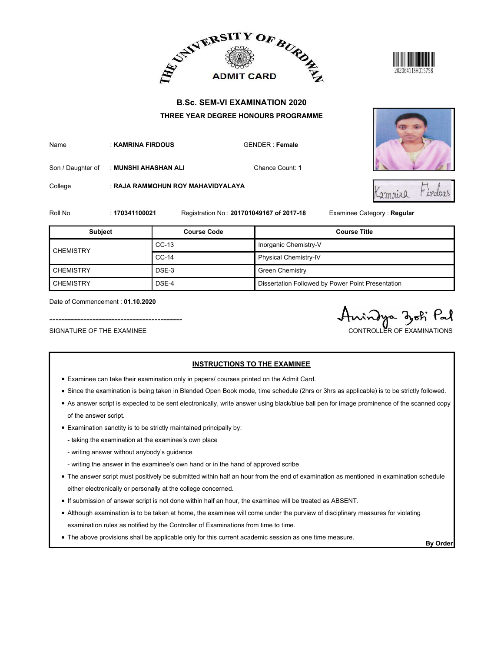







|                                                               |                      |                                   | ADMIT CARD BURDE                                                                                                                |                                             |
|---------------------------------------------------------------|----------------------|-----------------------------------|---------------------------------------------------------------------------------------------------------------------------------|---------------------------------------------|
|                                                               |                      |                                   | <b>B.Sc. SEM-VI EXAMINATION 2020</b>                                                                                            |                                             |
|                                                               |                      |                                   | THREE YEAR DEGREE HONOURS PROGRAMME                                                                                             |                                             |
| Name                                                          | : KAMRINA FIRDOUS    |                                   | <b>GENDER: Female</b>                                                                                                           |                                             |
| Son / Daughter of                                             | : MUNSHI AHASHAN ALI |                                   | Chance Count: 1                                                                                                                 |                                             |
| College                                                       |                      | : RAJA RAMMOHUN ROY MAHAVIDYALAYA |                                                                                                                                 | Firdous<br>Lamrina                          |
| Roll No                                                       | : 170341100021       |                                   | Registration No: 201701049167 of 2017-18                                                                                        | Examinee Category: Regular                  |
| <b>Subject</b>                                                |                      | <b>Course Code</b>                |                                                                                                                                 | <b>Course Title</b>                         |
|                                                               |                      | $CC-13$                           | Inorganic Chemistry-V                                                                                                           |                                             |
| <b>CHEMISTRY</b>                                              |                      | $CC-14$                           | Physical Chemistry-IV                                                                                                           |                                             |
| <b>CHEMISTRY</b>                                              |                      | DSE-3                             | <b>Green Chemistry</b>                                                                                                          |                                             |
| <b>CHEMISTRY</b>                                              |                      | DSE-4                             | Dissertation Followed by Power Point Presentation                                                                               |                                             |
| Date of Commencement: 01.10.2020<br>SIGNATURE OF THE EXAMINEE |                      |                                   |                                                                                                                                 | indya dok Pal<br>CONTROLLER OF EXAMINATIONS |
|                                                               |                      |                                   | <b>INSTRUCTIONS TO THE EXAMINEE</b><br>• Examinee can take their examination only in papers/ courses printed on the Admit Card. |                                             |

- Examinee can take their examination only in papers/ courses printed on the Admit Card.
- Since the examination is being taken in Blended Open Book mode, time schedule (2hrs or 3hrs as applicable) is to be strictly followed.
- As answer script is expected to be sent electronically, write answer using black/blue ball pen for image prominence of the scanned copy of the answer script.
- Examination sanctity is to be strictly maintained principally by:
	- taking the examination at the examinee's own place
	- writing answer without anybody's guidance
	- writing the answer in the examinee's own hand or in the hand of approved scribe
- The answer script must positively be submitted within half an hour from the end of examination as mentioned in examination schedule either electronically or personally at the college concerned.
- If submission of answer script is not done within half an hour, the examinee will be treated as ABSENT.
- Although examination is to be taken at home, the examinee will come under the purview of disciplinary measures for violating examination rules as notified by the Controller of Examinations from time to time.
- The above provisions shall be applicable only for this current academic session as one time measure.<br>By Order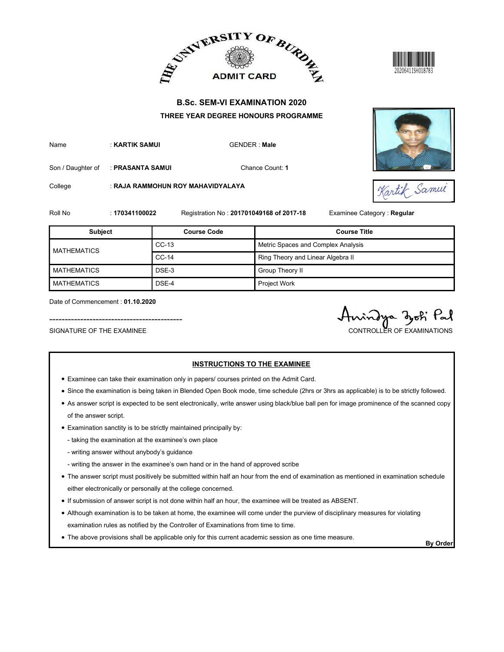



| Name | : KARTIK SAMUI | <b>GENDE</b> |
|------|----------------|--------------|
|      |                |              |

|                                                               |                  |                                   | ADMIT CARD BURDE                                                                                                                |                                               |
|---------------------------------------------------------------|------------------|-----------------------------------|---------------------------------------------------------------------------------------------------------------------------------|-----------------------------------------------|
|                                                               |                  |                                   | <b>B.Sc. SEM-VI EXAMINATION 2020</b>                                                                                            |                                               |
|                                                               |                  |                                   | THREE YEAR DEGREE HONOURS PROGRAMME                                                                                             |                                               |
| Name                                                          | : KARTIK SAMUI   |                                   | <b>GENDER: Male</b>                                                                                                             |                                               |
| Son / Daughter of                                             | : PRASANTA SAMUI |                                   | Chance Count: 1                                                                                                                 |                                               |
| College                                                       |                  | : RAJA RAMMOHUN ROY MAHAVIDYALAYA |                                                                                                                                 | Kartik Samue                                  |
| Roll No                                                       | : 170341100022   |                                   | Registration No: 201701049168 of 2017-18                                                                                        | Examinee Category: Regular                    |
| <b>Subject</b>                                                |                  | <b>Course Code</b>                |                                                                                                                                 | <b>Course Title</b>                           |
| <b>MATHEMATICS</b>                                            |                  | $CC-13$                           | Metric Spaces and Complex Analysis                                                                                              |                                               |
|                                                               |                  | $CC-14$                           | Ring Theory and Linear Algebra II                                                                                               |                                               |
| <b>MATHEMATICS</b>                                            |                  | DSE-3                             | Group Theory II                                                                                                                 |                                               |
| <b>MATHEMATICS</b>                                            |                  | DSE-4                             | Project Work                                                                                                                    |                                               |
| Date of Commencement: 01.10.2020<br>SIGNATURE OF THE EXAMINEE |                  |                                   |                                                                                                                                 | vindya zoki Pal<br>CONTROLLER OF EXAMINATIONS |
|                                                               |                  |                                   | <b>INSTRUCTIONS TO THE EXAMINEE</b><br>• Examinee can take their examination only in papers/ courses printed on the Admit Card. |                                               |

- Examinee can take their examination only in papers/ courses printed on the Admit Card.
- Since the examination is being taken in Blended Open Book mode, time schedule (2hrs or 3hrs as applicable) is to be strictly followed.
- As answer script is expected to be sent electronically, write answer using black/blue ball pen for image prominence of the scanned copy of the answer script.
- Examination sanctity is to be strictly maintained principally by:
	- taking the examination at the examinee's own place
	- writing answer without anybody's guidance
	- writing the answer in the examinee's own hand or in the hand of approved scribe
- The answer script must positively be submitted within half an hour from the end of examination as mentioned in examination schedule either electronically or personally at the college concerned.
- If submission of answer script is not done within half an hour, the examinee will be treated as ABSENT.
- Although examination is to be taken at home, the examinee will come under the purview of disciplinary measures for violating examination rules as notified by the Controller of Examinations from time to time.
- The above provisions shall be applicable only for this current academic session as one time measure.<br>By Order

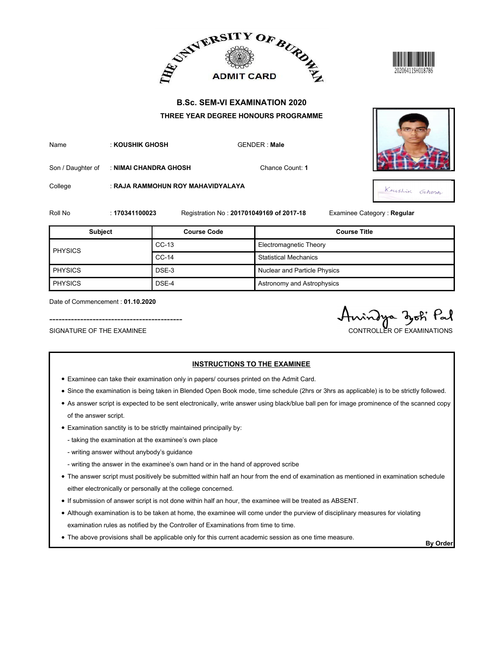



| Name | : KOUSHIK GHOSH | <b>GENDER: Ma</b> |
|------|-----------------|-------------------|
|      |                 |                   |





|                                                 |                       |                                   | ADMIT CARD BURDE                         | 20206411SH018786           |
|-------------------------------------------------|-----------------------|-----------------------------------|------------------------------------------|----------------------------|
|                                                 |                       |                                   | <b>B.Sc. SEM-VI EXAMINATION 2020</b>     |                            |
|                                                 |                       |                                   | THREE YEAR DEGREE HONOURS PROGRAMME      |                            |
| Name                                            | : KOUSHIK GHOSH       |                                   | <b>GENDER: Male</b>                      |                            |
| Son / Daughter of                               | : NIMAI CHANDRA GHOSH |                                   | Chance Count: 1                          |                            |
| College                                         |                       | : RAJA RAMMOHUN ROY MAHAVIDYALAYA |                                          |                            |
|                                                 |                       |                                   |                                          | Koushir Grhesh             |
|                                                 | : 170341100023        |                                   | Registration No: 201701049169 of 2017-18 | Examinee Category: Regular |
| Subject                                         |                       | <b>Course Code</b>                |                                          | <b>Course Title</b>        |
|                                                 |                       | $CC-13$                           | Electromagnetic Theory                   |                            |
|                                                 |                       | $CC-14$                           | <b>Statistical Mechanics</b>             |                            |
|                                                 |                       | DSE-3                             | Nuclear and Particle Physics             |                            |
| Roll No<br><b>PHYSICS</b><br>PHYSICS<br>PHYSICS |                       | DSE-4                             | Astronomy and Astrophysics               |                            |

- Examinee can take their examination only in papers/ courses printed on the Admit Card.
- Since the examination is being taken in Blended Open Book mode, time schedule (2hrs or 3hrs as applicable) is to be strictly followed.
- As answer script is expected to be sent electronically, write answer using black/blue ball pen for image prominence of the scanned copy of the answer script.
- Examination sanctity is to be strictly maintained principally by:
	- taking the examination at the examinee's own place
	- writing answer without anybody's guidance
	- writing the answer in the examinee's own hand or in the hand of approved scribe
- The answer script must positively be submitted within half an hour from the end of examination as mentioned in examination schedule either electronically or personally at the college concerned.
- If submission of answer script is not done within half an hour, the examinee will be treated as ABSENT.
- Although examination is to be taken at home, the examinee will come under the purview of disciplinary measures for violating examination rules as notified by the Controller of Examinations from time to time.
- The above provisions shall be applicable only for this current academic session as one time measure.<br>By Order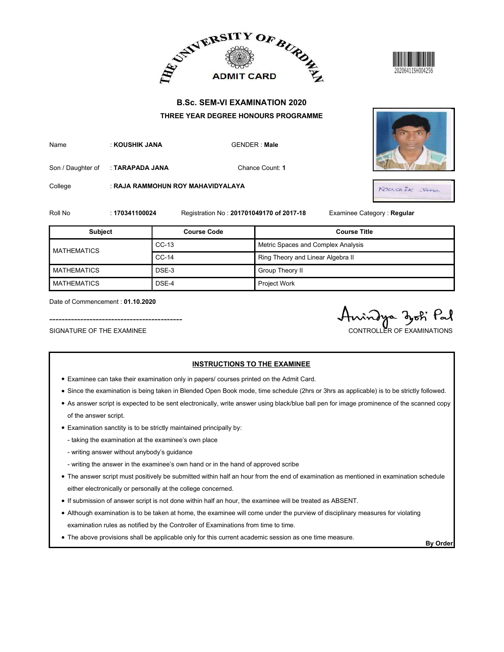



| Name | : KOUSHIK JANA |
|------|----------------|
|      |                |



|                    |                 |                                   | ADMIT CARD BURDE                         |                            |
|--------------------|-----------------|-----------------------------------|------------------------------------------|----------------------------|
|                    |                 |                                   | <b>B.Sc. SEM-VI EXAMINATION 2020</b>     |                            |
|                    |                 |                                   | THREE YEAR DEGREE HONOURS PROGRAMME      |                            |
| Name               | : KOUSHIK JANA  |                                   | <b>GENDER: Male</b>                      |                            |
| Son / Daughter of  | : TARAPADA JANA |                                   | Chance Count: 1                          |                            |
| College            |                 | : RAJA RAMMOHUN ROY MAHAVIDYALAYA |                                          | Koushek Inno.              |
| Roll No            | : 170341100024  |                                   | Registration No: 201701049170 of 2017-18 | Examinee Category: Regular |
|                    |                 |                                   |                                          |                            |
| <b>Subject</b>     |                 | <b>Course Code</b>                |                                          | <b>Course Title</b>        |
|                    |                 | $CC-13$                           | Metric Spaces and Complex Analysis       |                            |
| <b>MATHEMATICS</b> |                 | $CC-14$                           | Ring Theory and Linear Algebra II        |                            |
| <b>MATHEMATICS</b> |                 | DSE-3                             | Group Theory II                          |                            |
| <b>MATHEMATICS</b> |                 | DSE-4                             | Project Work                             |                            |

- Examinee can take their examination only in papers/ courses printed on the Admit Card.
- Since the examination is being taken in Blended Open Book mode, time schedule (2hrs or 3hrs as applicable) is to be strictly followed.
- As answer script is expected to be sent electronically, write answer using black/blue ball pen for image prominence of the scanned copy of the answer script.
- Examination sanctity is to be strictly maintained principally by:
	- taking the examination at the examinee's own place
	- writing answer without anybody's guidance
	- writing the answer in the examinee's own hand or in the hand of approved scribe
- The answer script must positively be submitted within half an hour from the end of examination as mentioned in examination schedule either electronically or personally at the college concerned.
- If submission of answer script is not done within half an hour, the examinee will be treated as ABSENT.
- Although examination is to be taken at home, the examinee will come under the purview of disciplinary measures for violating examination rules as notified by the Controller of Examinations from time to time.
- The above provisions shall be applicable only for this current academic session as one time measure.<br>By Order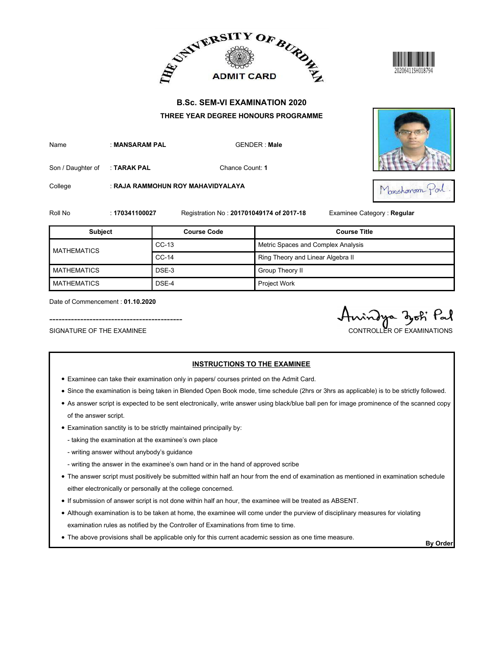





|                                                               |                |                                                                                          | ADMIT CARD BURDE                         | 20206411SH018794                             |
|---------------------------------------------------------------|----------------|------------------------------------------------------------------------------------------|------------------------------------------|----------------------------------------------|
|                                                               |                |                                                                                          | <b>B.Sc. SEM-VI EXAMINATION 2020</b>     |                                              |
| Name                                                          | : MANSARAM PAL | THREE YEAR DEGREE HONOURS PROGRAMME                                                      | <b>GENDER: Male</b>                      |                                              |
| Son / Daughter of                                             | : TARAK PAL    |                                                                                          | Chance Count: 1                          |                                              |
| College                                                       |                | : RAJA RAMMOHUN ROY MAHAVIDYALAYA                                                        |                                          | Monshoram Porl                               |
| Roll No                                                       | : 170341100027 |                                                                                          | Registration No: 201701049174 of 2017-18 | Examinee Category: Regular                   |
| Subject                                                       |                | <b>Course Code</b>                                                                       |                                          | <b>Course Title</b>                          |
|                                                               |                | $CC-13$                                                                                  | Metric Spaces and Complex Analysis       |                                              |
| <b>MATHEMATICS</b>                                            |                | $CC-14$                                                                                  | Ring Theory and Linear Algebra II        |                                              |
| <b>MATHEMATICS</b>                                            |                | DSE-3                                                                                    | Group Theory II                          |                                              |
| <b>MATHEMATICS</b>                                            |                | DSE-4                                                                                    | Project Work                             |                                              |
| Date of Commencement: 01.10.2020<br>SIGNATURE OF THE EXAMINEE |                |                                                                                          |                                          | indya doki Pal<br>CONTROLLER OF EXAMINATIONS |
|                                                               |                | • Examinee can take their examination only in papers/ courses printed on the Admit Card. | <b>INSTRUCTIONS TO THE EXAMINEE</b>      |                                              |

- Examinee can take their examination only in papers/ courses printed on the Admit Card.
- Since the examination is being taken in Blended Open Book mode, time schedule (2hrs or 3hrs as applicable) is to be strictly followed.
- As answer script is expected to be sent electronically, write answer using black/blue ball pen for image prominence of the scanned copy of the answer script.
- Examination sanctity is to be strictly maintained principally by:
	- taking the examination at the examinee's own place
	- writing answer without anybody's guidance
	- writing the answer in the examinee's own hand or in the hand of approved scribe
- The answer script must positively be submitted within half an hour from the end of examination as mentioned in examination schedule either electronically or personally at the college concerned.
- If submission of answer script is not done within half an hour, the examinee will be treated as ABSENT.
- Although examination is to be taken at home, the examinee will come under the purview of disciplinary measures for violating examination rules as notified by the Controller of Examinations from time to time.
- The above provisions shall be applicable only for this current academic session as one time measure.<br>By Order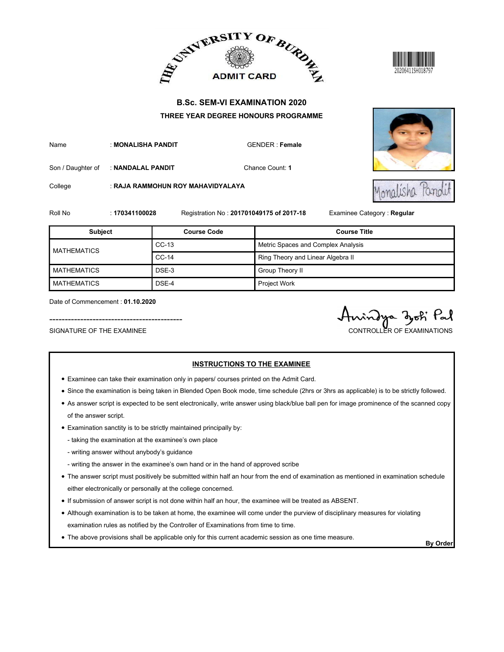



|                                                               |                    |                                                                                          | ADMIT CARD BURDE                         | 20206411SH018797                            |
|---------------------------------------------------------------|--------------------|------------------------------------------------------------------------------------------|------------------------------------------|---------------------------------------------|
|                                                               |                    |                                                                                          | <b>B.Sc. SEM-VI EXAMINATION 2020</b>     |                                             |
|                                                               |                    |                                                                                          | THREE YEAR DEGREE HONOURS PROGRAMME      |                                             |
| Name                                                          | : MONALISHA PANDIT |                                                                                          | GENDER : Female                          |                                             |
| Son / Daughter of                                             | : NANDALAL PANDIT  |                                                                                          | Chance Count: 1                          |                                             |
| College                                                       |                    | : RAJA RAMMOHUN ROY MAHAVIDYALAYA                                                        |                                          |                                             |
| Roll No                                                       | : 170341100028     |                                                                                          | Registration No: 201701049175 of 2017-18 | Examinee Category : Regular                 |
| <b>Subject</b>                                                |                    | <b>Course Code</b>                                                                       |                                          | <b>Course Title</b>                         |
|                                                               |                    | $CC-13$                                                                                  | Metric Spaces and Complex Analysis       |                                             |
| <b>MATHEMATICS</b>                                            |                    | $CC-14$                                                                                  | Ring Theory and Linear Algebra II        |                                             |
| <b>MATHEMATICS</b>                                            |                    | DSE-3                                                                                    | Group Theory II                          |                                             |
| <b>MATHEMATICS</b>                                            |                    | DSE-4                                                                                    | Project Work                             |                                             |
| Date of Commencement: 01.10.2020<br>SIGNATURE OF THE EXAMINEE |                    |                                                                                          |                                          | indya dok Pal<br>CONTROLLER OF EXAMINATIONS |
|                                                               |                    | • Examinee can take their examination only in papers/ courses printed on the Admit Card. | <b>INSTRUCTIONS TO THE EXAMINEE</b>      |                                             |

- Examinee can take their examination only in papers/ courses printed on the Admit Card.
- Since the examination is being taken in Blended Open Book mode, time schedule (2hrs or 3hrs as applicable) is to be strictly followed.
- As answer script is expected to be sent electronically, write answer using black/blue ball pen for image prominence of the scanned copy of the answer script.
- Examination sanctity is to be strictly maintained principally by:
	- taking the examination at the examinee's own place
	- writing answer without anybody's guidance
	- writing the answer in the examinee's own hand or in the hand of approved scribe
- The answer script must positively be submitted within half an hour from the end of examination as mentioned in examination schedule either electronically or personally at the college concerned.
- If submission of answer script is not done within half an hour, the examinee will be treated as ABSENT.
- Although examination is to be taken at home, the examinee will come under the purview of disciplinary measures for violating examination rules as notified by the Controller of Examinations from time to time.
- The above provisions shall be applicable only for this current academic session as one time measure.<br>By Order

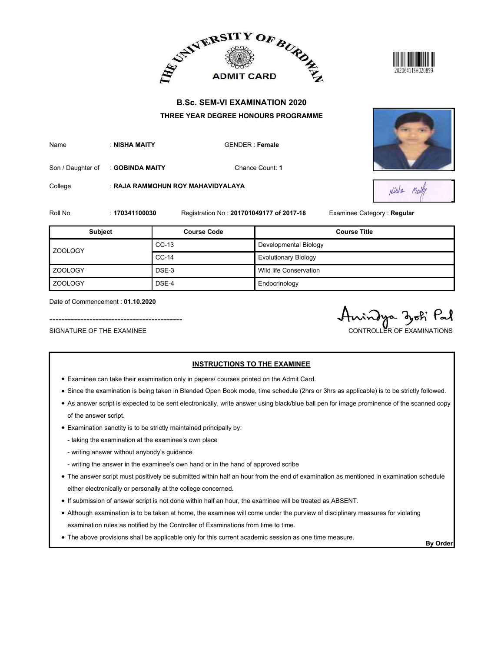



| Name | : NISHA MAITY | GENDER: Fem |
|------|---------------|-------------|
|      |               |             |

| <b>B.Sc. SEM-VI EXAMINATION 2020</b><br>THREE YEAR DEGREE HONOURS PROGRAMME<br>: NISHA MAITY<br><b>GENDER: Female</b><br>Chance Count: 1<br>: GOBINDA MAITY<br>: RAJA RAMMOHUN ROY MAHAVIDYALAYA<br>Nisha<br>Maily<br>Registration No: 201701049177 of 2017-18<br>Examinee Category: Regular<br>: 170341100030<br><b>Subject</b><br><b>Course Code</b><br><b>Course Title</b><br>$CC-13$<br>Developmental Biology<br>ZOOLOGY<br>$CC-14$<br><b>Evolutionary Biology</b><br>DSE-3<br>Wild life Conservation<br>DSE-4<br>Endocrinology<br>Date of Commencement: 01.10.2020 |                   |  | ADMIT CARD AND ALLEY ADMIT CARD AT | 20206411SH020859 |
|-------------------------------------------------------------------------------------------------------------------------------------------------------------------------------------------------------------------------------------------------------------------------------------------------------------------------------------------------------------------------------------------------------------------------------------------------------------------------------------------------------------------------------------------------------------------------|-------------------|--|------------------------------------|------------------|
|                                                                                                                                                                                                                                                                                                                                                                                                                                                                                                                                                                         |                   |  |                                    |                  |
|                                                                                                                                                                                                                                                                                                                                                                                                                                                                                                                                                                         | Name              |  |                                    |                  |
|                                                                                                                                                                                                                                                                                                                                                                                                                                                                                                                                                                         | Son / Daughter of |  |                                    |                  |
|                                                                                                                                                                                                                                                                                                                                                                                                                                                                                                                                                                         | College           |  |                                    |                  |
|                                                                                                                                                                                                                                                                                                                                                                                                                                                                                                                                                                         | Roll No           |  |                                    |                  |
|                                                                                                                                                                                                                                                                                                                                                                                                                                                                                                                                                                         |                   |  |                                    |                  |
|                                                                                                                                                                                                                                                                                                                                                                                                                                                                                                                                                                         |                   |  |                                    |                  |
|                                                                                                                                                                                                                                                                                                                                                                                                                                                                                                                                                                         |                   |  |                                    |                  |
|                                                                                                                                                                                                                                                                                                                                                                                                                                                                                                                                                                         | <b>ZOOLOGY</b>    |  |                                    |                  |
|                                                                                                                                                                                                                                                                                                                                                                                                                                                                                                                                                                         | <b>ZOOLOGY</b>    |  |                                    |                  |
| SIGNATURE OF THE EXAMINEE<br>CONTROLLER OF EXAMINATIONS                                                                                                                                                                                                                                                                                                                                                                                                                                                                                                                 |                   |  |                                    | indya dok Pal    |

- Examinee can take their examination only in papers/ courses printed on the Admit Card.
- Since the examination is being taken in Blended Open Book mode, time schedule (2hrs or 3hrs as applicable) is to be strictly followed.
- As answer script is expected to be sent electronically, write answer using black/blue ball pen for image prominence of the scanned copy of the answer script.
- Examination sanctity is to be strictly maintained principally by:
	- taking the examination at the examinee's own place
	- writing answer without anybody's guidance
	- writing the answer in the examinee's own hand or in the hand of approved scribe
- The answer script must positively be submitted within half an hour from the end of examination as mentioned in examination schedule either electronically or personally at the college concerned.
- If submission of answer script is not done within half an hour, the examinee will be treated as ABSENT.
- Although examination is to be taken at home, the examinee will come under the purview of disciplinary measures for violating examination rules as notified by the Controller of Examinations from time to time.
- The above provisions shall be applicable only for this current academic session as one time measure.<br>By Order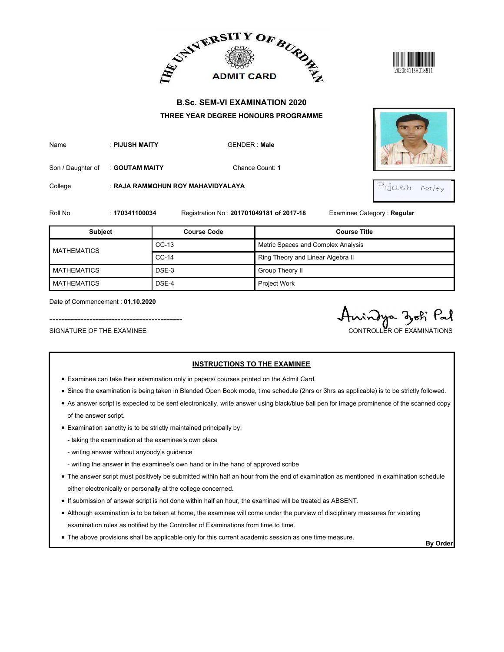





|                    |                |                                   | ADMIT CARD BURDE                         | 20206411SH018811           |
|--------------------|----------------|-----------------------------------|------------------------------------------|----------------------------|
|                    |                |                                   | <b>B.Sc. SEM-VI EXAMINATION 2020</b>     |                            |
|                    |                |                                   | THREE YEAR DEGREE HONOURS PROGRAMME      |                            |
| Name               | : PIJUSH MAITY |                                   | <b>GENDER: Male</b>                      |                            |
| Son / Daughter of  | : GOUTAM MAITY |                                   | Chance Count: 1                          |                            |
|                    |                |                                   |                                          |                            |
| College            |                | : RAJA RAMMOHUN ROY MAHAVIDYALAYA |                                          | Pijash Malty               |
| Roll No            | : 170341100034 |                                   | Registration No: 201701049181 of 2017-18 | Examinee Category: Regular |
| <b>Subject</b>     |                | <b>Course Code</b>                |                                          | <b>Course Title</b>        |
|                    |                | $CC-13$                           | Metric Spaces and Complex Analysis       |                            |
| <b>MATHEMATICS</b> |                | $CC-14$                           | Ring Theory and Linear Algebra II        |                            |
| <b>MATHEMATICS</b> |                | DSE-3                             | Group Theory II                          |                            |
| <b>MATHEMATICS</b> |                | DSE-4                             | Project Work                             |                            |

- Examinee can take their examination only in papers/ courses printed on the Admit Card.
- Since the examination is being taken in Blended Open Book mode, time schedule (2hrs or 3hrs as applicable) is to be strictly followed.
- As answer script is expected to be sent electronically, write answer using black/blue ball pen for image prominence of the scanned copy of the answer script.
- Examination sanctity is to be strictly maintained principally by:
	- taking the examination at the examinee's own place
	- writing answer without anybody's guidance
	- writing the answer in the examinee's own hand or in the hand of approved scribe
- The answer script must positively be submitted within half an hour from the end of examination as mentioned in examination schedule either electronically or personally at the college concerned.
- If submission of answer script is not done within half an hour, the examinee will be treated as ABSENT.
- Although examination is to be taken at home, the examinee will come under the purview of disciplinary measures for violating examination rules as notified by the Controller of Examinations from time to time.
- The above provisions shall be applicable only for this current academic session as one time measure.<br>By Order